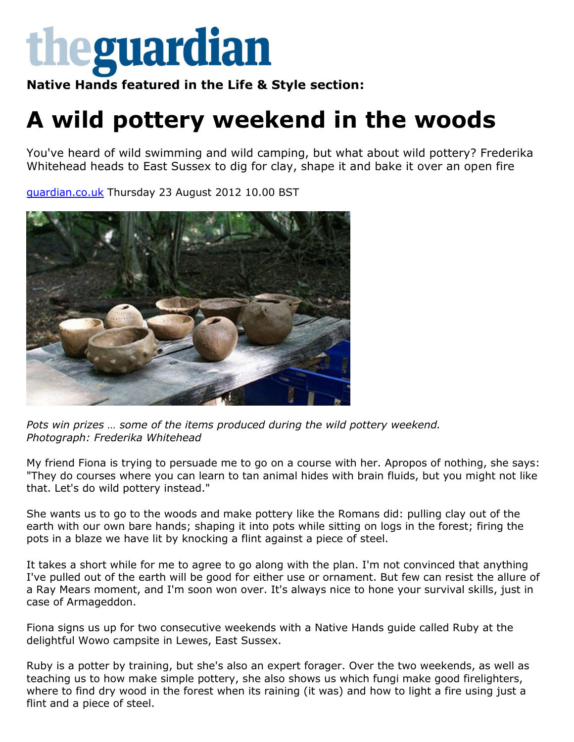

**Native Hands featured in the Life & Style section:**

## **A wild pottery weekend in the woods**

You've heard of wild swimming and wild camping, but what about wild pottery? Frederika Whitehead heads to East Sussex to dig for clay, shape it and bake it over an open fire

[guardian.co.uk](http://www.guardian.co.uk/) Thursday 23 August 2012 10.00 BST



Pots win prizes ... some of the items produced during the wild pottery weekend. *Photograph: Frederika Whitehead*

My friend Fiona is trying to persuade me to go on a course with her. Apropos of nothing, she says: "They do courses where you can learn to tan animal hides with brain fluids, but you might not like that. Let's do wild pottery instead."

She wants us to go to the woods and make pottery like the Romans did: pulling clay out of the earth with our own bare hands; shaping it into pots while sitting on logs in the forest; firing the pots in a blaze we have lit by knocking a flint against a piece of steel.

It takes a short while for me to agree to go along with the plan. I'm not convinced that anything I've pulled out of the earth will be good for either use or ornament. But few can resist the allure of a Ray Mears moment, and I'm soon won over. It's always nice to hone your survival skills, just in case of Armageddon.

Fiona signs us up for two consecutive weekends with a Native Hands guide called Ruby at the delightful Wowo campsite in Lewes, East Sussex.

Ruby is a potter by training, but she's also an expert forager. Over the two weekends, as well as teaching us to how make simple pottery, she also shows us which fungi make good firelighters, where to find dry wood in the forest when its raining (it was) and how to light a fire using just a flint and a piece of steel.